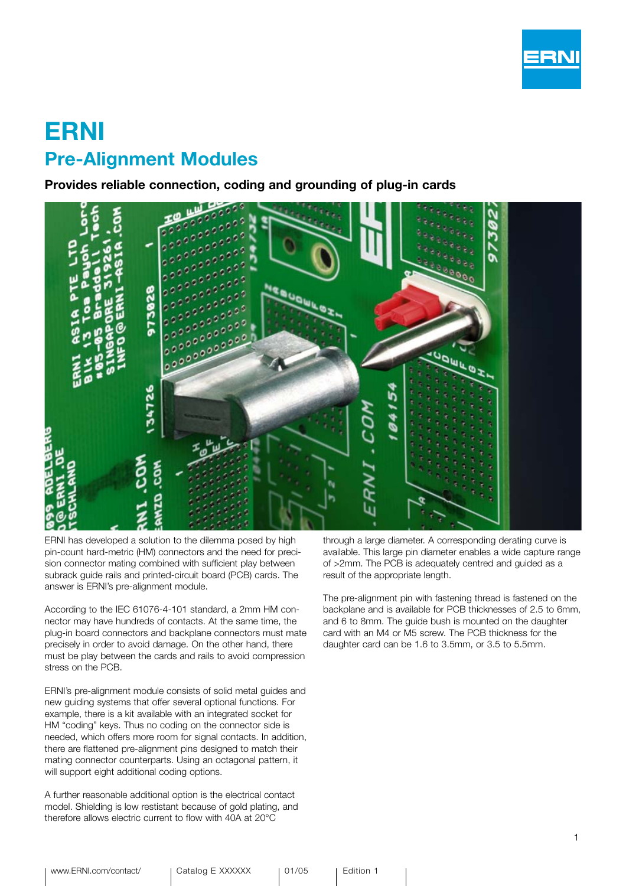

# ERNI Pre-Alignment Modules

Provides reliable connection, coding and grounding of plug-in cards



ERNI has developed a solution to the dilemma posed by high pin-count hard-metric (HM) connectors and the need for precision connector mating combined with sufficient play between subrack guide rails and printed-circuit board (PCB) cards. The answer is ERNI's pre-alignment module.

According to the IEC 61076-4-101 standard, a 2mm HM connector may have hundreds of contacts. At the same time, the plug-in board connectors and backplane connectors must mate precisely in order to avoid damage. On the other hand, there must be play between the cards and rails to avoid compression stress on the PCB.

ERNI's pre-alignment module consists of solid metal guides and new guiding systems that offer several optional functions. For example, there is a kit available with an integrated socket for HM "coding" keys. Thus no coding on the connector side is needed, which offers more room for signal contacts. In addition, there are flattened pre-alignment pins designed to match their mating connector counterparts. Using an octagonal pattern, it will support eight additional coding options.

A further reasonable additional option is the electrical contact model. Shielding is low restistant because of gold plating, and therefore allows electric current to flow with 40A at 20°C

through a large diameter. A corresponding derating curve is available. This large pin diameter enables a wide capture range of >2mm. The PCB is adequately centred and guided as a result of the appropriate length.

The pre-alignment pin with fastening thread is fastened on the backplane and is available for PCB thicknesses of 2.5 to 6mm, and 6 to 8mm. The guide bush is mounted on the daughter card with an M4 or M5 screw. The PCB thickness for the daughter card can be 1.6 to 3.5mm, or 3.5 to 5.5mm.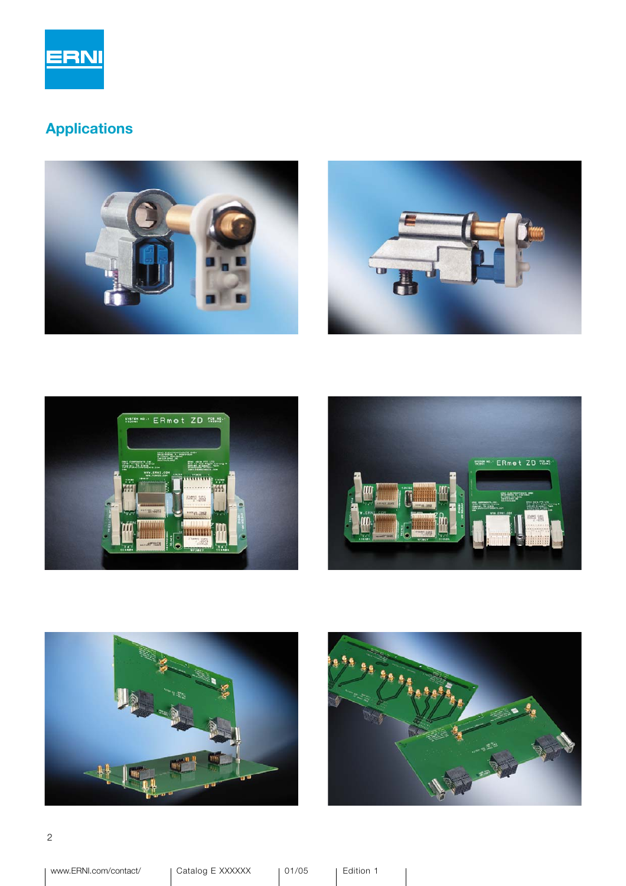

## Applications











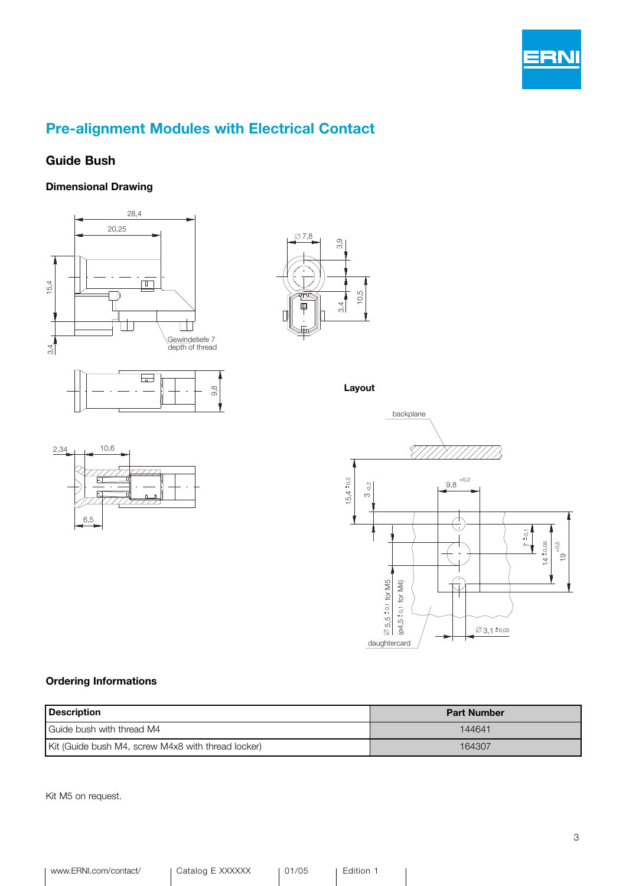

### Pre-alignment Modules with Electrical Contact

#### Guide Bush

#### Dimensional Drawing







Layout





#### Ordering Informations

| <b>Description</b>                                 | <b>Part Number</b> |
|----------------------------------------------------|--------------------|
| Guide bush with thread M4                          | 144641             |
| Kit (Guide bush M4, screw M4x8 with thread locker) | 164307             |

Kit M5 on request.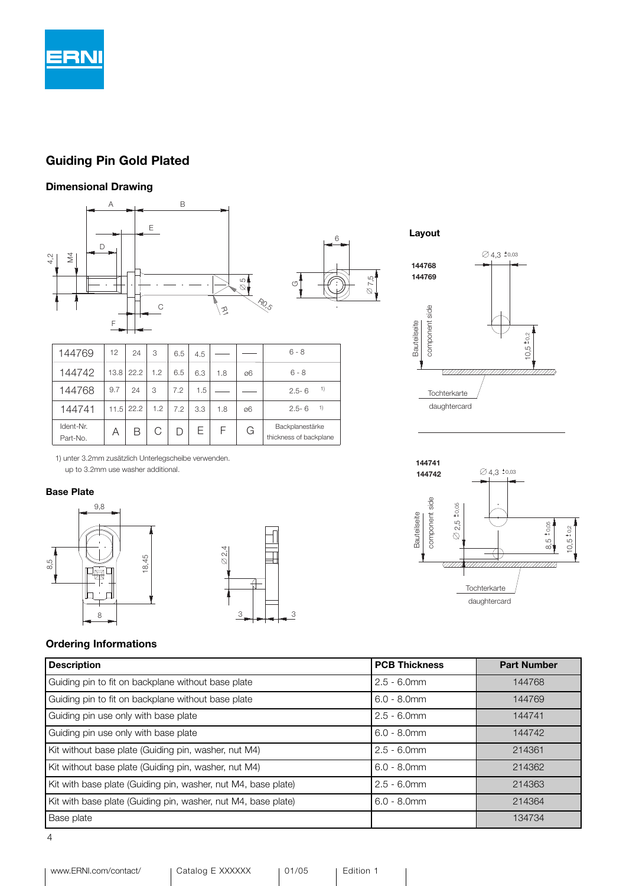

#### Guiding Pin Gold Plated

#### Dimensional Drawing





 $Q$ 4,3  $*$ 0,03

daughtercard Tochterkarte

H <u>suun kunnimminin muun k</u>

 $O2,5 \pm 0.05$ 

Bauteilseite

component side

component side Bauteilseite

**144741 144742**

> 8,5 +0,05  $10,5110,2$

 $\frac{5}{2}$ 

| 144769                | 12   | 24   | 3   | 6.5 | 4.5 |     |    | $6 - 8$                                   |
|-----------------------|------|------|-----|-----|-----|-----|----|-------------------------------------------|
| 144742                | 13.8 | 22.2 | 1.2 | 6.5 | 6.3 | 1.8 | Ø6 | $6 - 8$                                   |
| 144768                | 9.7  | 24   | 3   | 7.2 | 1.5 |     |    | 1)<br>$2.5 - 6$                           |
| 144741                | 11.5 | 22.2 | 1.2 | 7.2 | 3.3 | 1.8 | ø6 | 1)<br>$2.5 - 6$                           |
| Ident-Nr.<br>Part-No. | Α    | В    |     |     | Е   | F   | G  | Backplanestärke<br>thickness of backplane |

1) unter 3.2mm zusätzlich Unterlegscheibe verwenden. up to 3.2mm use washer additional.

#### Base Plate





#### Ordering Informations

| <b>Description</b>                                            | <b>PCB Thickness</b> | <b>Part Number</b> |
|---------------------------------------------------------------|----------------------|--------------------|
| Guiding pin to fit on backplane without base plate            | $2.5 - 6.0$ mm       | 144768             |
| Guiding pin to fit on backplane without base plate            | $6.0 - 8.0$ mm       | 144769             |
| Guiding pin use only with base plate                          | $2.5 - 6.0$ mm       | 144741             |
| Guiding pin use only with base plate                          | $6.0 - 8.0$ mm       | 144742             |
| Kit without base plate (Guiding pin, washer, nut M4)          | $2.5 - 6.0$ mm       | 214361             |
| Kit without base plate (Guiding pin, washer, nut M4)          | $6.0 - 8.0$ mm       | 214362             |
| Kit with base plate (Guiding pin, washer, nut M4, base plate) | $2.5 - 6.0$ mm       | 214363             |
| Kit with base plate (Guiding pin, washer, nut M4, base plate) | $6.0 - 8.0$ mm       | 214364             |
| <b>Base plate</b>                                             |                      | 134734             |

4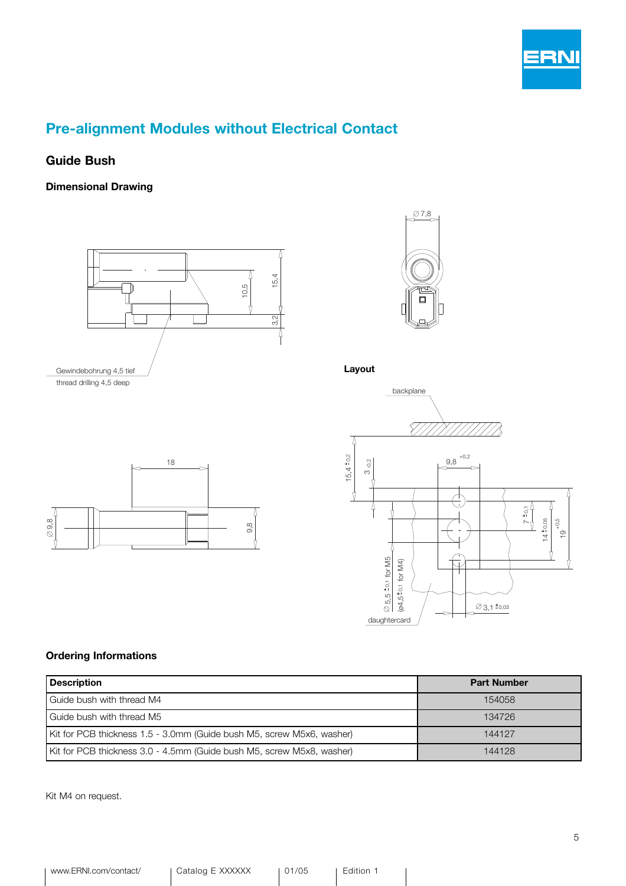

### Pre-alignment Modules without Electrical Contact

#### Guide Bush

Dimensional Drawing





Layout





| <b>Description</b>                                                    | <b>Part Number</b> |
|-----------------------------------------------------------------------|--------------------|
| Guide bush with thread M4                                             | 154058             |
| Guide bush with thread M5                                             | 134726             |
| Kit for PCB thickness 1.5 - 3.0mm (Guide bush M5, screw M5x6, washer) | 144127             |
| Kit for PCB thickness 3.0 - 4.5mm (Guide bush M5, screw M5x8, washer) | 144128             |

Kit M4 on request.

18 Λ 9,8 9,8 4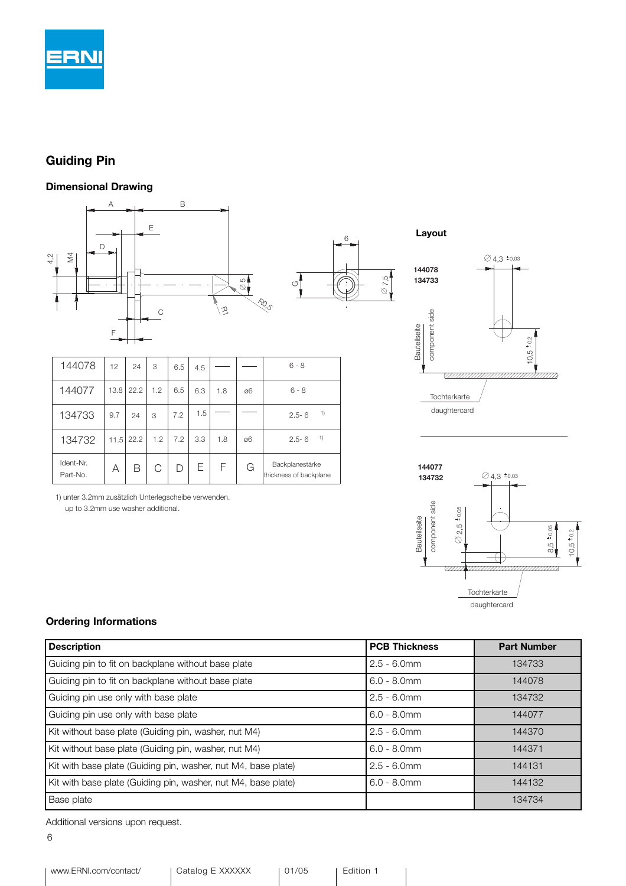

### Guiding Pin

#### Dimensional Drawing



| 144078                | 12   | 24   | 3   | 6.5 | 4.5 |     |    | $6 - 8$                                   |
|-----------------------|------|------|-----|-----|-----|-----|----|-------------------------------------------|
| 144077                | 13.8 | 22.2 | 1.2 | 6.5 | 6.3 | 1.8 | Ø6 | $6 - 8$                                   |
| 134733                | 9.7  | 24   | 3   | 7.2 | 1.5 |     |    | 1)<br>$2.5 - 6$                           |
| 134732                | 11.5 | 22.2 | 1.2 | 7.2 | 3.3 | 1.8 | Ø6 | 1)<br>$2.5 - 6$                           |
| Ident-Nr.<br>Part-No. | Α    | В    | С   |     | Е   | F   | G  | Backplanestärke<br>thickness of backplane |

<sup>1)</sup> unter 3.2mm zusätzlich Unterlegscheibe verwenden. up to 3.2mm use washer additional.



7,5



#### Ordering Informations

| <b>Description</b>                                            | <b>PCB Thickness</b> | <b>Part Number</b> |
|---------------------------------------------------------------|----------------------|--------------------|
| Guiding pin to fit on backplane without base plate            | $2.5 - 6.0$ mm       | 134733             |
| Guiding pin to fit on backplane without base plate            | $6.0 - 8.0$ mm       | 144078             |
| Guiding pin use only with base plate                          | $2.5 - 6.0$ mm       | 134732             |
| Guiding pin use only with base plate                          | $6.0 - 8.0$ mm       | 144077             |
| Kit without base plate (Guiding pin, washer, nut M4)          | $2.5 - 6.0$ mm       | 144370             |
| Kit without base plate (Guiding pin, washer, nut M4)          | $6.0 - 8.0$ mm       | 144371             |
| Kit with base plate (Guiding pin, washer, nut M4, base plate) | $2.5 - 6.0$ mm       | 144131             |
| Kit with base plate (Guiding pin, washer, nut M4, base plate) | $6.0 - 8.0$ mm       | 144132             |
| <b>Base plate</b>                                             |                      | 134734             |

Additional versions upon request.

6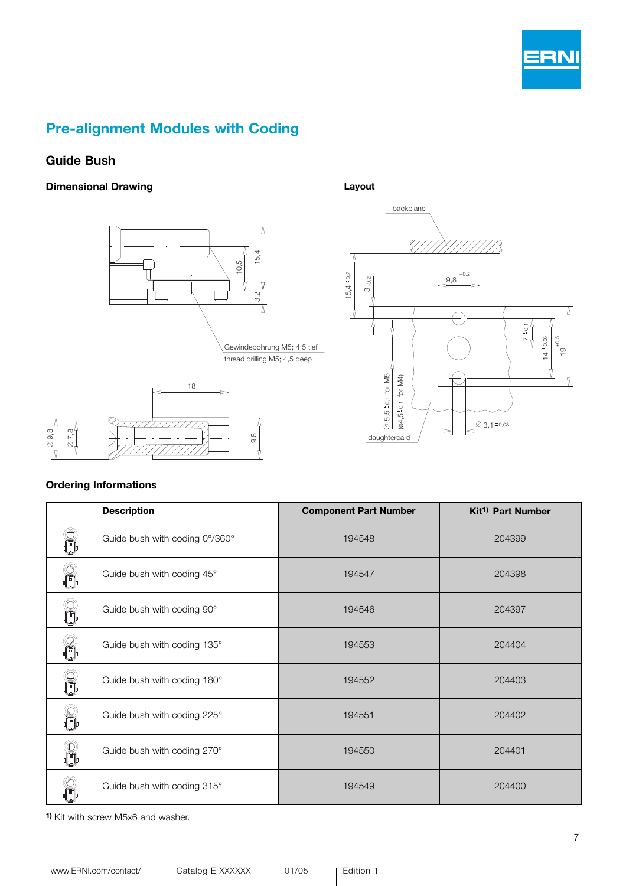

### Pre-alignment Modules with Coding

#### Guide Bush

#### Dimensional Drawing





#### Layout



#### Ordering Informations

|   | <b>Description</b>             | <b>Component Part Number</b> | Kit <sup>1)</sup> Part Number |
|---|--------------------------------|------------------------------|-------------------------------|
|   | Guide bush with coding 0°/360° | 194548                       | 204399                        |
| Â | Guide bush with coding 45°     | 194547                       | 204398                        |
| g | Guide bush with coding 90°     | 194546                       | 204397                        |
| Ô | Guide bush with coding 135°    | 194553                       | 204404                        |
| R | Guide bush with coding 180°    | 194552                       | 204403                        |
| f | Guide bush with coding 225°    | 194551                       | 204402                        |
| R | Guide bush with coding 270°    | 194550                       | 204401                        |
|   | Guide bush with coding 315°    | 194549                       | 204400                        |

1) Kit with screw M5x6 and washer.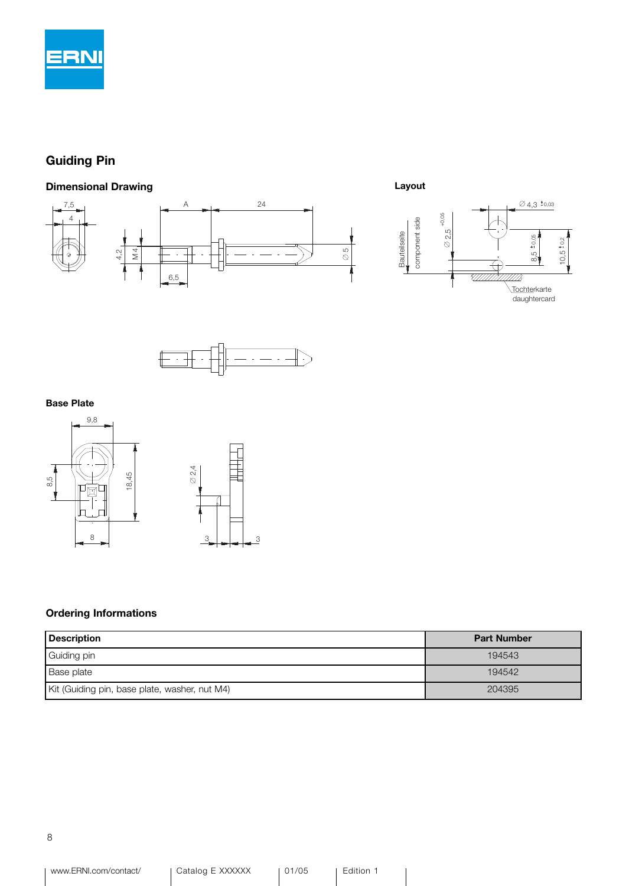

### Guiding Pin

#### Dimensional Drawing







#### Base Plate



#### Ordering Informations

| $\frac{5}{6}$<br>18,4<br>Ø<br>亘<br>8<br>$\frac{3}{2}$<br>3<br><b>Ordering Informations</b> |                    |
|--------------------------------------------------------------------------------------------|--------------------|
| <b>Description</b>                                                                         | <b>Part Number</b> |
| Guiding pin                                                                                | 194543             |
| Base plate                                                                                 | 194542             |
| Kit (Guiding pin, base plate, washer, nut M4)                                              | 204395             |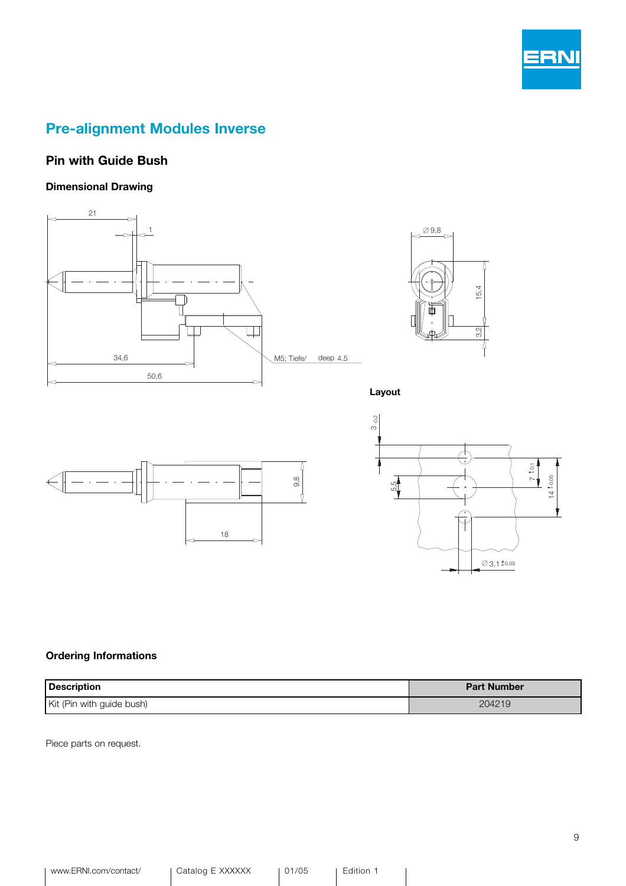

### Pre-alignment Modules Inverse

#### Pin with Guide Bush

#### Dimensional Drawing





Layout





#### Ordering Informations

| Description               | <b>Part Number</b> |
|---------------------------|--------------------|
| Kit (Pin with guide bush) | 204219             |

Piece parts on request.